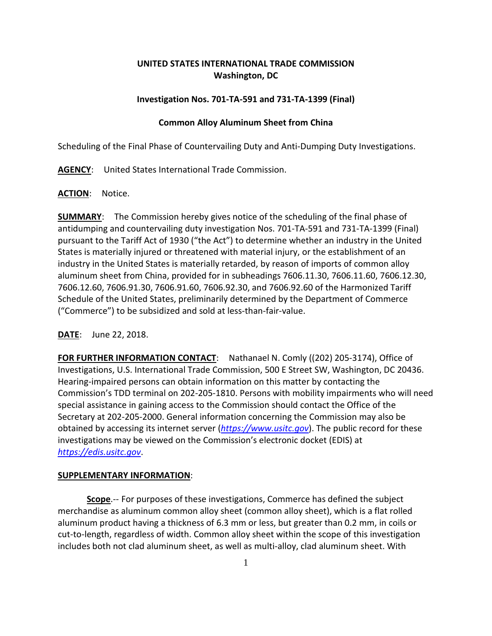# **UNITED STATES INTERNATIONAL TRADE COMMISSION Washington, DC**

## **Investigation Nos. 701-TA-591 and 731-TA-1399 (Final)**

# **Common Alloy Aluminum Sheet from China**

Scheduling of the Final Phase of Countervailing Duty and Anti-Dumping Duty Investigations.

**AGENCY**: United States International Trade Commission.

#### **ACTION**: Notice.

**SUMMARY**: The Commission hereby gives notice of the scheduling of the final phase of antidumping and countervailing duty investigation Nos. 701-TA-591 and 731-TA-1399 (Final) pursuant to the Tariff Act of 1930 ("the Act") to determine whether an industry in the United States is materially injured or threatened with material injury, or the establishment of an industry in the United States is materially retarded, by reason of imports of common alloy aluminum sheet from China, provided for in subheadings 7606.11.30, 7606.11.60, 7606.12.30, 7606.12.60, 7606.91.30, 7606.91.60, 7606.92.30, and 7606.92.60 of the Harmonized Tariff Schedule of the United States, preliminarily determined by the Department of Commerce ("Commerce") to be subsidized and sold at less-than-fair-value.

### **DATE**: June 22, 2018.

**FOR FURTHER INFORMATION CONTACT**: Nathanael N. Comly ((202) 205-3174), Office of Investigations, U.S. International Trade Commission, 500 E Street SW, Washington, DC 20436. Hearing-impaired persons can obtain information on this matter by contacting the Commission's TDD terminal on 202-205-1810. Persons with mobility impairments who will need special assistance in gaining access to the Commission should contact the Office of the Secretary at 202-205-2000. General information concerning the Commission may also be obtained by accessing its internet server (*[https://www.usitc.gov](https://www.usitc.gov/)*). The public record for these investigations may be viewed on the Commission's electronic docket (EDIS) at *[https://edis.usitc.gov](https://edis.usitc.gov/)*.

### **SUPPLEMENTARY INFORMATION**:

**Scope**.-- For purposes of these investigations, Commerce has defined the subject merchandise as aluminum common alloy sheet (common alloy sheet), which is a flat rolled aluminum product having a thickness of 6.3 mm or less, but greater than 0.2 mm, in coils or cut-to-length, regardless of width. Common alloy sheet within the scope of this investigation includes both not clad aluminum sheet, as well as multi-alloy, clad aluminum sheet. With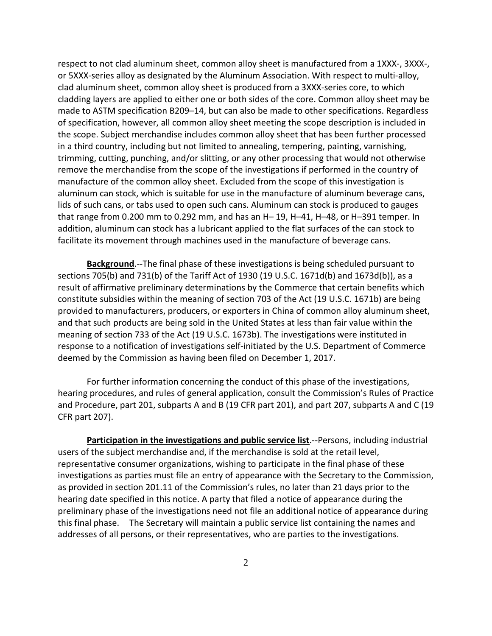respect to not clad aluminum sheet, common alloy sheet is manufactured from a 1XXX-, 3XXX-, or 5XXX-series alloy as designated by the Aluminum Association. With respect to multi-alloy, clad aluminum sheet, common alloy sheet is produced from a 3XXX-series core, to which cladding layers are applied to either one or both sides of the core. Common alloy sheet may be made to ASTM specification B209–14, but can also be made to other specifications. Regardless of specification, however, all common alloy sheet meeting the scope description is included in the scope. Subject merchandise includes common alloy sheet that has been further processed in a third country, including but not limited to annealing, tempering, painting, varnishing, trimming, cutting, punching, and/or slitting, or any other processing that would not otherwise remove the merchandise from the scope of the investigations if performed in the country of manufacture of the common alloy sheet. Excluded from the scope of this investigation is aluminum can stock, which is suitable for use in the manufacture of aluminum beverage cans, lids of such cans, or tabs used to open such cans. Aluminum can stock is produced to gauges that range from 0.200 mm to 0.292 mm, and has an H– 19, H–41, H–48, or H–391 temper. In addition, aluminum can stock has a lubricant applied to the flat surfaces of the can stock to facilitate its movement through machines used in the manufacture of beverage cans.

**Background**.--The final phase of these investigations is being scheduled pursuant to sections 705(b) and 731(b) of the Tariff Act of 1930 (19 U.S.C. 1671d(b) and 1673d(b)), as a result of affirmative preliminary determinations by the Commerce that certain benefits which constitute subsidies within the meaning of section 703 of the Act (19 U.S.C. 1671b) are being provided to manufacturers, producers, or exporters in China of common alloy aluminum sheet, and that such products are being sold in the United States at less than fair value within the meaning of section 733 of the Act (19 U.S.C. 1673b). The investigations were instituted in response to a notification of investigations self-initiated by the U.S. Department of Commerce deemed by the Commission as having been filed on December 1, 2017.

For further information concerning the conduct of this phase of the investigations, hearing procedures, and rules of general application, consult the Commission's Rules of Practice and Procedure, part 201, subparts A and B (19 CFR part 201), and part 207, subparts A and C (19 CFR part 207).

**Participation in the investigations and public service list.**--Persons, including industrial users of the subject merchandise and, if the merchandise is sold at the retail level, representative consumer organizations, wishing to participate in the final phase of these investigations as parties must file an entry of appearance with the Secretary to the Commission, as provided in section 201.11 of the Commission's rules, no later than 21 days prior to the hearing date specified in this notice. A party that filed a notice of appearance during the preliminary phase of the investigations need not file an additional notice of appearance during this final phase. The Secretary will maintain a public service list containing the names and addresses of all persons, or their representatives, who are parties to the investigations.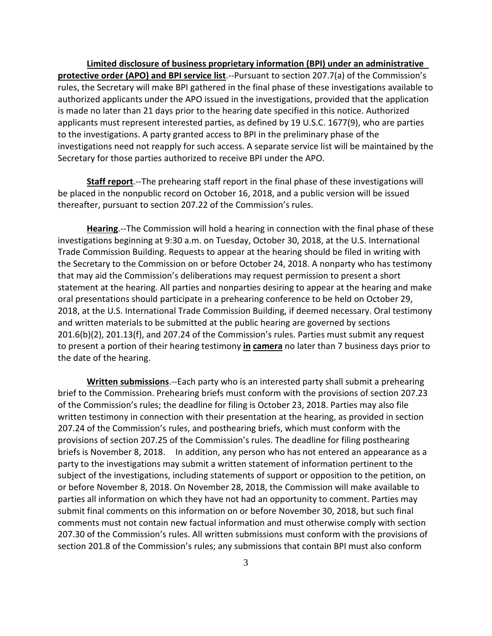**Limited disclosure of business proprietary information (BPI) under an administrative protective order (APO) and BPI service list**.--Pursuant to section 207.7(a) of the Commission's rules, the Secretary will make BPI gathered in the final phase of these investigations available to authorized applicants under the APO issued in the investigations, provided that the application is made no later than 21 days prior to the hearing date specified in this notice. Authorized applicants must represent interested parties, as defined by 19 U.S.C. 1677(9), who are parties to the investigations. A party granted access to BPI in the preliminary phase of the investigations need not reapply for such access. A separate service list will be maintained by the Secretary for those parties authorized to receive BPI under the APO.

**Staff report**.--The prehearing staff report in the final phase of these investigations will be placed in the nonpublic record on October 16, 2018, and a public version will be issued thereafter, pursuant to section 207.22 of the Commission's rules.

**Hearing**.--The Commission will hold a hearing in connection with the final phase of these investigations beginning at 9:30 a.m. on Tuesday, October 30, 2018, at the U.S. International Trade Commission Building. Requests to appear at the hearing should be filed in writing with the Secretary to the Commission on or before October 24, 2018. A nonparty who has testimony that may aid the Commission's deliberations may request permission to present a short statement at the hearing. All parties and nonparties desiring to appear at the hearing and make oral presentations should participate in a prehearing conference to be held on October 29, 2018, at the U.S. International Trade Commission Building, if deemed necessary. Oral testimony and written materials to be submitted at the public hearing are governed by sections 201.6(b)(2), 201.13(f), and 207.24 of the Commission's rules. Parties must submit any request to present a portion of their hearing testimony **in camera** no later than 7 business days prior to the date of the hearing.

**Written submissions**.--Each party who is an interested party shall submit a prehearing brief to the Commission. Prehearing briefs must conform with the provisions of section 207.23 of the Commission's rules; the deadline for filing is October 23, 2018. Parties may also file written testimony in connection with their presentation at the hearing, as provided in section 207.24 of the Commission's rules, and posthearing briefs, which must conform with the provisions of section 207.25 of the Commission's rules. The deadline for filing posthearing briefs is November 8, 2018. In addition, any person who has not entered an appearance as a party to the investigations may submit a written statement of information pertinent to the subject of the investigations, including statements of support or opposition to the petition, on or before November 8, 2018. On November 28, 2018, the Commission will make available to parties all information on which they have not had an opportunity to comment. Parties may submit final comments on this information on or before November 30, 2018, but such final comments must not contain new factual information and must otherwise comply with section 207.30 of the Commission's rules. All written submissions must conform with the provisions of section 201.8 of the Commission's rules; any submissions that contain BPI must also conform